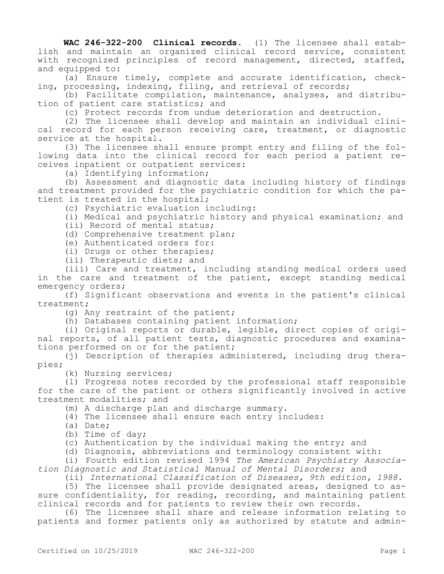**WAC 246-322-200 Clinical records.** (1) The licensee shall establish and maintain an organized clinical record service, consistent with recognized principles of record management, directed, staffed, and equipped to:

(a) Ensure timely, complete and accurate identification, checking, processing, indexing, filing, and retrieval of records;

(b) Facilitate compilation, maintenance, analyses, and distribution of patient care statistics; and

(c) Protect records from undue deterioration and destruction.

(2) The licensee shall develop and maintain an individual clinical record for each person receiving care, treatment, or diagnostic service at the hospital.

(3) The licensee shall ensure prompt entry and filing of the following data into the clinical record for each period a patient receives inpatient or outpatient services:

(a) Identifying information;

(b) Assessment and diagnostic data including history of findings and treatment provided for the psychiatric condition for which the patient is treated in the hospital;

(c) Psychiatric evaluation including:

(i) Medical and psychiatric history and physical examination; and

(ii) Record of mental status;

(d) Comprehensive treatment plan;

(e) Authenticated orders for:

(i) Drugs or other therapies;

(ii) Therapeutic diets; and

(iii) Care and treatment, including standing medical orders used in the care and treatment of the patient, except standing medical emergency orders;

(f) Significant observations and events in the patient's clinical treatment;

(g) Any restraint of the patient;

(h) Databases containing patient information;

(i) Original reports or durable, legible, direct copies of original reports, of all patient tests, diagnostic procedures and examinations performed on or for the patient;

(j) Description of therapies administered, including drug therapies;

(k) Nursing services;

(l) Progress notes recorded by the professional staff responsible for the care of the patient or others significantly involved in active treatment modalities; and

(m) A discharge plan and discharge summary.

(4) The licensee shall ensure each entry includes:

(a) Date;

(b) Time of day;

(c) Authentication by the individual making the entry; and

(d) Diagnosis, abbreviations and terminology consistent with:

(i) Fourth edition revised 1994 *The American Psychiatry Association Diagnostic and Statistical Manual of Mental Disorders*; and

(ii) *International Classification of Diseases, 9th edition, 1988*.

(5) The licensee shall provide designated areas, designed to assure confidentiality, for reading, recording, and maintaining patient clinical records and for patients to review their own records.

(6) The licensee shall share and release information relating to patients and former patients only as authorized by statute and admin